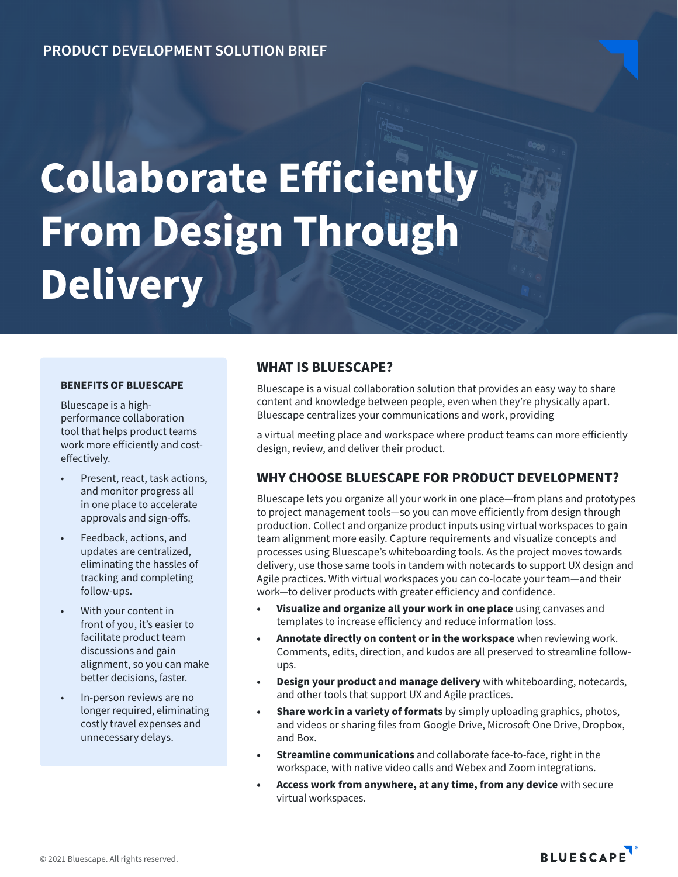# **Collaborate Efficiently From Design Through Delivery**

#### **BENEFITS OF BLUESCAPE**

Bluescape is a highperformance collaboration tool that helps product teams work more efficiently and costeffectively.

- Present, react, task actions, and monitor progress all in one place to accelerate approvals and sign-offs.
- Feedback, actions, and updates are centralized, eliminating the hassles of tracking and completing follow-ups.
- With your content in front of you, it's easier to facilitate product team discussions and gain alignment, so you can make better decisions, faster.
- In-person reviews are no longer required, eliminating costly travel expenses and unnecessary delays.

### **WHAT IS BLUESCAPE?**

Bluescape is a visual collaboration solution that provides an easy way to share content and knowledge between people, even when they're physically apart. Bluescape centralizes your communications and work, providing

a virtual meeting place and workspace where product teams can more efficiently design, review, and deliver their product.

## **WHY CHOOSE BLUESCAPE FOR PRODUCT DEVELOPMENT?**

Bluescape lets you organize all your work in one place—from plans and prototypes to project management tools—so you can move efficiently from design through production. Collect and organize product inputs using virtual workspaces to gain team alignment more easily. Capture requirements and visualize concepts and processes using Bluescape's whiteboarding tools. As the project moves towards delivery, use those same tools in tandem with notecards to support UX design and Agile practices. With virtual workspaces you can co-locate your team—and their work—to deliver products with greater efficiency and confidence.

- **• Visualize and organize all your work in one place** using canvases and templates to increase efficiency and reduce information loss.
- **• Annotate directly on content or in the workspace** when reviewing work. Comments, edits, direction, and kudos are all preserved to streamline followups.
- **• Design your product and manage delivery** with whiteboarding, notecards, and other tools that support UX and Agile practices.
- **• Share work in a variety of formats** by simply uploading graphics, photos, and videos or sharing files from Google Drive, Microsoft One Drive, Dropbox, and Box.
- **• Streamline communications** and collaborate face-to-face, right in the workspace, with native video calls and Webex and Zoom integrations.
- **• Access work from anywhere, at any time, from any device** with secure virtual workspaces.